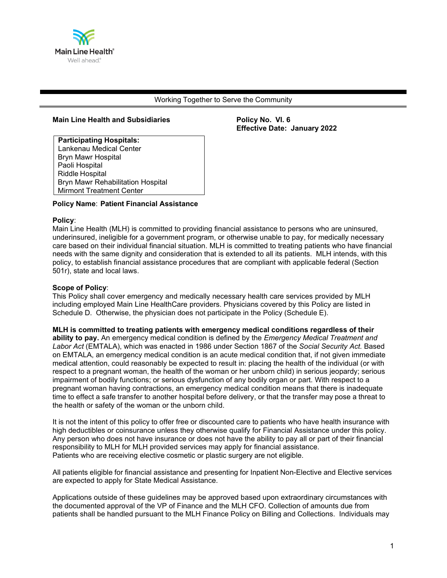

#### Working Together to Serve the Community

#### **Main Line Health and Subsidiaries Policy No. VI. 6**

**Effective Date: January 2022** 

 **Participating Hospitals:** Lankenau Medical Center Bryn Mawr Hospital Paoli Hospital Riddle Hospital Bryn Mawr Rehabilitation Hospital Mirmont Treatment Center

#### **Policy Name**: **Patient Financial Assistance**

#### **Policy**:

Main Line Health (MLH) is committed to providing financial assistance to persons who are uninsured, underinsured, ineligible for a government program, or otherwise unable to pay, for medically necessary care based on their individual financial situation. MLH is committed to treating patients who have financial needs with the same dignity and consideration that is extended to all its patients. MLH intends, with this policy, to establish financial assistance procedures that are compliant with applicable federal (Section 501r), state and local laws.

#### **Scope of Policy**:

This Policy shall cover emergency and medically necessary health care services provided by MLH including employed Main Line HealthCare providers. Physicians covered by this Policy are listed in Schedule D. Otherwise, the physician does not participate in the Policy (Schedule E).

**MLH is committed to treating patients with emergency medical conditions regardless of their ability to pay.** An emergency medical condition is defined by the *Emergency Medical Treatment and Labor Act* (EMTALA), which was enacted in 1986 under Section 1867 of the *Social Security Act.* Based on EMTALA, an emergency medical condition is an acute medical condition that, if not given immediate medical attention, could reasonably be expected to result in: placing the health of the individual (or with respect to a pregnant woman, the health of the woman or her unborn child) in serious jeopardy; serious impairment of bodily functions; or serious dysfunction of any bodily organ or part. With respect to a pregnant woman having contractions, an emergency medical condition means that there is inadequate time to effect a safe transfer to another hospital before delivery, or that the transfer may pose a threat to the health or safety of the woman or the unborn child.

It is not the intent of this policy to offer free or discounted care to patients who have health insurance with high deductibles or coinsurance unless they otherwise qualify for Financial Assistance under this policy. Any person who does not have insurance or does not have the ability to pay all or part of their financial responsibility to MLH for MLH provided services may apply for financial assistance. Patients who are receiving elective cosmetic or plastic surgery are not eligible.

All patients eligible for financial assistance and presenting for Inpatient Non-Elective and Elective services are expected to apply for State Medical Assistance.

Applications outside of these guidelines may be approved based upon extraordinary circumstances with the documented approval of the VP of Finance and the MLH CFO. Collection of amounts due from patients shall be handled pursuant to the MLH Finance Policy on Billing and Collections. Individuals may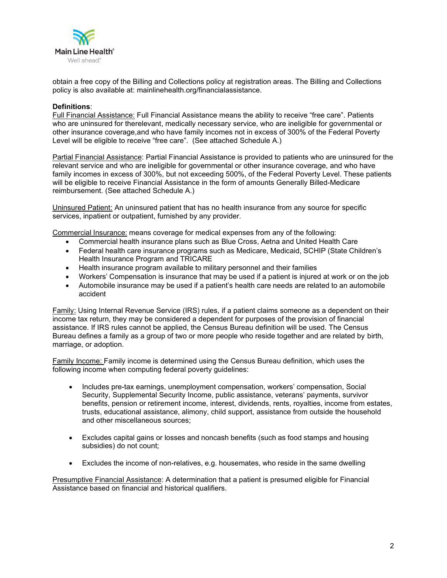

obtain a free copy of the Billing and Collections policy at registration areas. The Billing and Collections policy is also available at: mainlinehealth.org/financialassistance.

#### **Definitions**:

Full Financial Assistance: Full Financial Assistance means the ability to receive "free care". Patients who are uninsured for therelevant, medically necessary service, who are ineligible for governmental or other insurance coverage,and who have family incomes not in excess of 300% of the Federal Poverty Level will be eligible to receive "free care". (See attached Schedule A.)

Partial Financial Assistance: Partial Financial Assistance is provided to patients who are uninsured for the relevant service and who are ineligible for governmental or other insurance coverage, and who have family incomes in excess of 300%, but not exceeding 500%, of the Federal Poverty Level. These patients will be eligible to receive Financial Assistance in the form of amounts Generally Billed-Medicare reimbursement. (See attached Schedule A.)

Uninsured Patient: An uninsured patient that has no health insurance from any source for specific services, inpatient or outpatient, furnished by any provider.

Commercial Insurance: means coverage for medical expenses from any of the following:

- Commercial health insurance plans such as Blue Cross, Aetna and United Health Care
- Federal health care insurance programs such as Medicare, Medicaid, SCHIP (State Children's Health Insurance Program and TRICARE
- Health insurance program available to military personnel and their families
- Workers' Compensation is insurance that may be used if a patient is injured at work or on the job
- Automobile insurance may be used if a patient's health care needs are related to an automobile accident

Family: Using Internal Revenue Service (IRS) rules, if a patient claims someone as a dependent on their income tax return, they may be considered a dependent for purposes of the provision of financial assistance. If IRS rules cannot be applied, the Census Bureau definition will be used. The Census Bureau defines a family as a group of two or more people who reside together and are related by birth, marriage, or adoption.

Family Income: Family income is determined using the Census Bureau definition, which uses the following income when computing federal poverty guidelines:

- Includes pre-tax earnings, unemployment compensation, workers' compensation, Social Security, Supplemental Security Income, public assistance, veterans' payments, survivor benefits, pension or retirement income, interest, dividends, rents, royalties, income from estates, trusts, educational assistance, alimony, child support, assistance from outside the household and other miscellaneous sources;
- Excludes capital gains or losses and noncash benefits (such as food stamps and housing subsidies) do not count;
- Excludes the income of non-relatives, e.g. housemates, who reside in the same dwelling

Presumptive Financial Assistance: A determination that a patient is presumed eligible for Financial Assistance based on financial and historical qualifiers.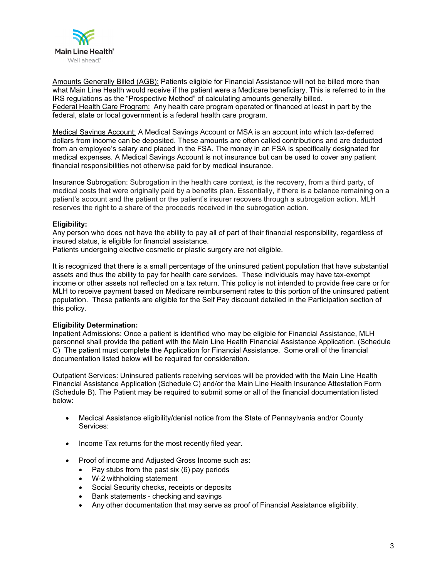

Amounts Generally Billed (AGB): Patients eligible for Financial Assistance will not be billed more than what Main Line Health would receive if the patient were a Medicare beneficiary. This is referred to in the IRS regulations as the "Prospective Method" of calculating amounts generally billed. Federal Health Care Program: Any health care program operated or financed at least in part by the federal, state or local government is a federal health care program.

Medical Savings Account: A Medical Savings Account or MSA is an account into which tax-deferred dollars from income can be deposited. These amounts are often called contributions and are deducted from an employee's salary and placed in the FSA. The money in an FSA is specifically designated for medical expenses. A Medical Savings Account is not insurance but can be used to cover any patient financial responsibilities not otherwise paid for by medical insurance.

Insurance Subrogation: Subrogation in the health care context, is the recovery, from a third party, of medical costs that were originally paid by a benefits plan. Essentially, if there is a balance remaining on a patient's account and the patient or the patient's insurer recovers through a subrogation action, MLH reserves the right to a share of the proceeds received in the subrogation action.

## **Eligibility:**

Any person who does not have the ability to pay all of part of their financial responsibility, regardless of insured status, is eligible for financial assistance.

Patients undergoing elective cosmetic or plastic surgery are not eligible.

It is recognized that there is a small percentage of the uninsured patient population that have substantial assets and thus the ability to pay for health care services. These individuals may have tax-exempt income or other assets not reflected on a tax return. This policy is not intended to provide free care or for MLH to receive payment based on Medicare reimbursement rates to this portion of the uninsured patient population. These patients are eligible for the Self Pay discount detailed in the Participation section of this policy.

#### **Eligibility Determination:**

Inpatient Admissions: Once a patient is identified who may be eligible for Financial Assistance, MLH personnel shall provide the patient with the Main Line Health Financial Assistance Application. (Schedule C) The patient must complete the Application for Financial Assistance. Some orall of the financial documentation listed below will be required for consideration.

Outpatient Services: Uninsured patients receiving services will be provided with the Main Line Health Financial Assistance Application (Schedule C) and/or the Main Line Health Insurance Attestation Form (Schedule B). The Patient may be required to submit some or all of the financial documentation listed below:

- Medical Assistance eligibility/denial notice from the State of Pennsylvania and/or County Services:
- Income Tax returns for the most recently filed year.
- Proof of income and Adjusted Gross Income such as:
	- Pay stubs from the past six (6) pay periods
	- W-2 withholding statement
	- Social Security checks, receipts or deposits
	- Bank statements checking and savings
	- Any other documentation that may serve as proof of Financial Assistance eligibility.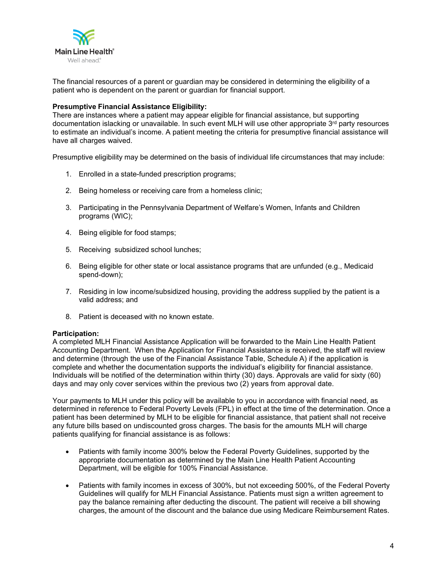

The financial resources of a parent or guardian may be considered in determining the eligibility of a patient who is dependent on the parent or guardian for financial support.

#### **Presumptive Financial Assistance Eligibility:**

There are instances where a patient may appear eligible for financial assistance, but supporting documentation islacking or unavailable. In such event MLH will use other appropriate 3<sup>rd</sup> party resources to estimate an individual's income. A patient meeting the criteria for presumptive financial assistance will have all charges waived.

Presumptive eligibility may be determined on the basis of individual life circumstances that may include:

- 1. Enrolled in a state-funded prescription programs;
- 2. Being homeless or receiving care from a homeless clinic;
- 3. Participating in the Pennsylvania Department of Welfare's Women, Infants and Children programs (WIC);
- 4. Being eligible for food stamps;
- 5. Receiving subsidized school lunches;
- 6. Being eligible for other state or local assistance programs that are unfunded (e.g., Medicaid spend-down);
- 7. Residing in low income/subsidized housing, providing the address supplied by the patient is a valid address; and
- 8. Patient is deceased with no known estate.

#### **Participation:**

A completed MLH Financial Assistance Application will be forwarded to the Main Line Health Patient Accounting Department. When the Application for Financial Assistance is received, the staff will review and determine (through the use of the Financial Assistance Table, Schedule A) if the application is complete and whether the documentation supports the individual's eligibility for financial assistance. Individuals will be notified of the determination within thirty (30) days. Approvals are valid for sixty (60) days and may only cover services within the previous two (2) years from approval date.

Your payments to MLH under this policy will be available to you in accordance with financial need, as determined in reference to Federal Poverty Levels (FPL) in effect at the time of the determination. Once a patient has been determined by MLH to be eligible for financial assistance, that patient shall not receive any future bills based on undiscounted gross charges. The basis for the amounts MLH will charge patients qualifying for financial assistance is as follows:

- Patients with family income 300% below the Federal Poverty Guidelines, supported by the appropriate documentation as determined by the Main Line Health Patient Accounting Department, will be eligible for 100% Financial Assistance.
- Patients with family incomes in excess of 300%, but not exceeding 500%, of the Federal Poverty Guidelines will qualify for MLH Financial Assistance. Patients must sign a written agreement to pay the balance remaining after deducting the discount. The patient will receive a bill showing charges, the amount of the discount and the balance due using Medicare Reimbursement Rates.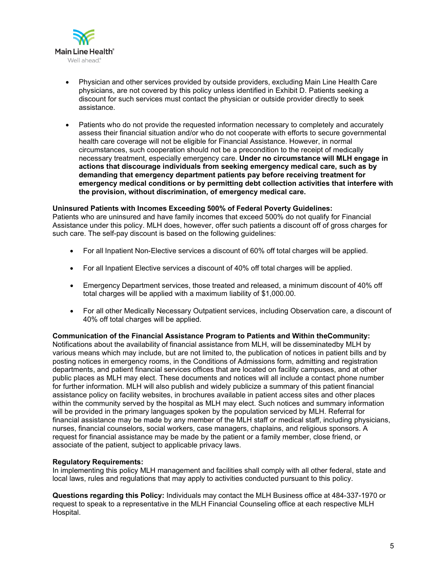

- Physician and other services provided by outside providers, excluding Main Line Health Care physicians, are not covered by this policy unless identified in Exhibit D. Patients seeking a discount for such services must contact the physician or outside provider directly to seek assistance.
- Patients who do not provide the requested information necessary to completely and accurately assess their financial situation and/or who do not cooperate with efforts to secure governmental health care coverage will not be eligible for Financial Assistance. However, in normal circumstances, such cooperation should not be a precondition to the receipt of medically necessary treatment, especially emergency care. **Under no circumstance will MLH engage in actions that discourage individuals from seeking emergency medical care, such as by demanding that emergency department patients pay before receiving treatment for emergency medical conditions or by permitting debt collection activities that interfere with the provision, without discrimination, of emergency medical care.**

#### **Uninsured Patients with Incomes Exceeding 500% of Federal Poverty Guidelines:**

Patients who are uninsured and have family incomes that exceed 500% do not qualify for Financial Assistance under this policy. MLH does, however, offer such patients a discount off of gross charges for such care. The self-pay discount is based on the following guidelines:

- For all Inpatient Non-Elective services a discount of 60% off total charges will be applied.
- For all Inpatient Elective services a discount of 40% off total charges will be applied.
- Emergency Department services, those treated and released, a minimum discount of 40% off total charges will be applied with a maximum liability of \$1,000.00.
- For all other Medically Necessary Outpatient services, including Observation care, a discount of 40% off total charges will be applied.

**Communication of the Financial Assistance Program to Patients and Within theCommunity:** Notifications about the availability of financial assistance from MLH, will be disseminatedby MLH by various means which may include, but are not limited to, the publication of notices in patient bills and by posting notices in emergency rooms, in the Conditions of Admissions form, admitting and registration departments, and patient financial services offices that are located on facility campuses, and at other public places as MLH may elect. These documents and notices will all include a contact phone number for further information. MLH will also publish and widely publicize a summary of this patient financial assistance policy on facility websites, in brochures available in patient access sites and other places within the community served by the hospital as MLH may elect. Such notices and summary information will be provided in the primary languages spoken by the population serviced by MLH. Referral for financial assistance may be made by any member of the MLH staff or medical staff, including physicians, nurses, financial counselors, social workers, case managers, chaplains, and religious sponsors. A request for financial assistance may be made by the patient or a family member, close friend, or associate of the patient, subject to applicable privacy laws.

#### **Regulatory Requirements:**

In implementing this policy MLH management and facilities shall comply with all other federal, state and local laws, rules and regulations that may apply to activities conducted pursuant to this policy.

**Questions regarding this Policy:** Individuals may contact the MLH Business office at 484-337-1970 or request to speak to a representative in the MLH Financial Counseling office at each respective MLH Hospital.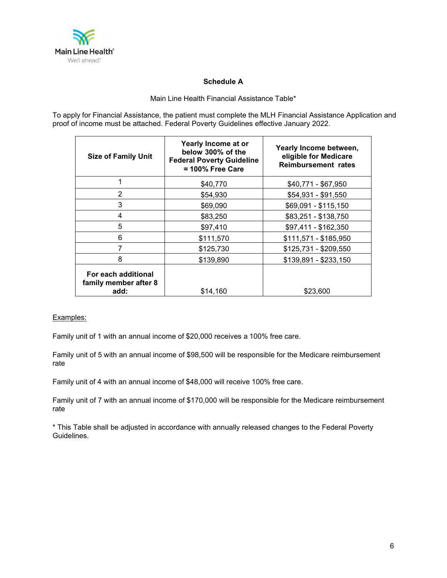

## **Schedule A**

## Main Line Health Financial Assistance Table\*

To apply for Financial Assistance, the patient must complete the MLH Financial Assistance Application and proof of income must be attached. Federal Poverty Guidelines effective January 2022.

| <b>Size of Family Unit</b>                           | Yearly Income at or<br>below 300% of the<br><b>Federal Poverty Guideline</b><br>$= 100\%$ Free Care | Yearly Income between,<br>eligible for Medicare<br><b>Reimbursement rates</b> |
|------------------------------------------------------|-----------------------------------------------------------------------------------------------------|-------------------------------------------------------------------------------|
|                                                      | \$40,770                                                                                            | \$40,771 - \$67,950                                                           |
| 2                                                    | \$54,930                                                                                            | \$54,931 - \$91,550                                                           |
| 3                                                    | \$69,090                                                                                            | \$69,091 - \$115,150                                                          |
| 4                                                    | \$83,250                                                                                            | \$83,251 - \$138,750                                                          |
| 5                                                    | \$97,410                                                                                            | \$97,411 - \$162,350                                                          |
| 6                                                    | \$111,570                                                                                           | \$111,571 - \$185,950                                                         |
|                                                      | \$125,730                                                                                           | \$125,731 - \$209,550                                                         |
| 8                                                    | \$139,890                                                                                           | \$139,891 - \$233,150                                                         |
| For each additional<br>family member after 8<br>add: | \$14,160                                                                                            | \$23,600                                                                      |

## Examples:

Family unit of 1 with an annual income of \$20,000 receives a 100% free care.

Family unit of 5 with an annual income of \$98,500 will be responsible for the Medicare reimbursement rate

Family unit of 4 with an annual income of \$48,000 will receive 100% free care.

Family unit of 7 with an annual income of \$170,000 will be responsible for the Medicare reimbursement rate

\* This Table shall be adjusted in accordance with annually released changes to the Federal Poverty Guidelines.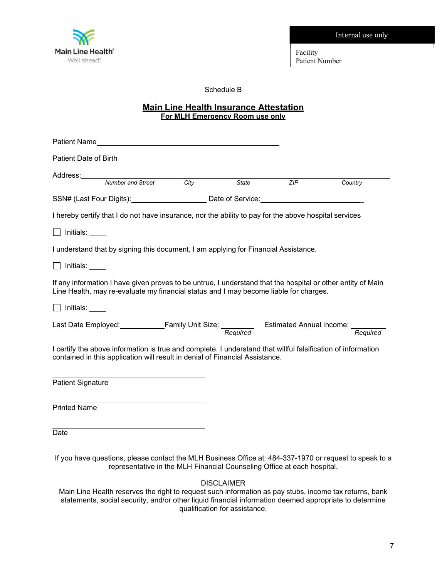Internal use only



Facility Patient Number

Schedule B

## **Main Line Health Insurance Attestation For MLH Emergency Room use only**

| Patient Name and the contract of the contract of the contract of the contract of the contract of the contract of the contract of the contract of the contract of the contract of the contract of the contract of the contract |                   |                   |     |          |
|-------------------------------------------------------------------------------------------------------------------------------------------------------------------------------------------------------------------------------|-------------------|-------------------|-----|----------|
| Patient Date of Birth <b>Exercise 2008</b>                                                                                                                                                                                    |                   |                   |     |          |
| Address:<br><u> 1980 - Johann Stoff, fransk politik (d. 1980)</u><br>Number and Street                                                                                                                                        | $\overline{City}$ | State             | ZIP | Country  |
|                                                                                                                                                                                                                               |                   |                   |     |          |
| SSN# (Last Four Digits): Date of Service:                                                                                                                                                                                     |                   |                   |     |          |
| I hereby certify that I do not have insurance, nor the ability to pay for the above hospital services                                                                                                                         |                   |                   |     |          |
| $\Box$ Initials: $\Box$                                                                                                                                                                                                       |                   |                   |     |          |
| I understand that by signing this document, I am applying for Financial Assistance.                                                                                                                                           |                   |                   |     |          |
| $\Box$ Initials: $\_\_\_\_\_\_\_\_\_\$                                                                                                                                                                                        |                   |                   |     |          |
| If any information I have given proves to be untrue, I understand that the hospital or other entity of Main<br>Line Health, may re-evaluate my financial status and I may become liable for charges.                          |                   |                   |     |          |
| $\Box$ Initials:                                                                                                                                                                                                              |                   |                   |     |          |
| Last Date Employed: Family Unit Size: Estimated Annual Income: Fequired Last Date Employed:                                                                                                                                   |                   |                   |     | Required |
| I certify the above information is true and complete. I understand that willful falsification of information<br>contained in this application will result in denial of Financial Assistance.                                  |                   |                   |     |          |
| <b>Patient Signature</b>                                                                                                                                                                                                      |                   |                   |     |          |
| <b>Printed Name</b>                                                                                                                                                                                                           |                   |                   |     |          |
| Date                                                                                                                                                                                                                          |                   |                   |     |          |
| If you have questions, please contact the MLH Business Office at: 484-337-1970 or request to speak to a<br>representative in the MLH Financial Counseling Office at each hospital.                                            |                   |                   |     |          |
|                                                                                                                                                                                                                               |                   | <b>DISCLAIMER</b> |     |          |

Main Line Health reserves the right to request such information as pay stubs, income tax returns, bank statements, social security, and/or other liquid financial information deemed appropriate to determine qualification for assistance.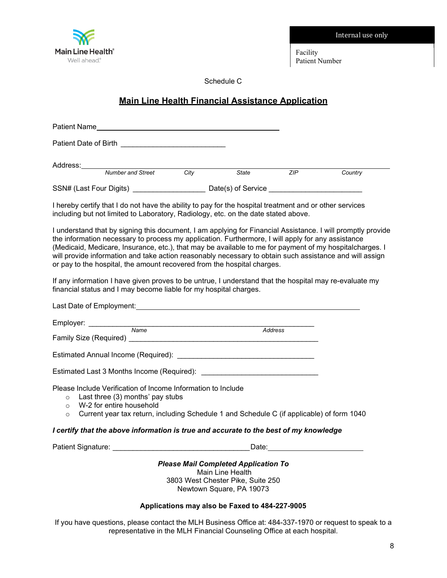Facility

Internal use only

Patient Number

Schedule C

# **Main Line Health Financial Assistance Application**

| Patient Name          |                          |      |                    |            |         |
|-----------------------|--------------------------|------|--------------------|------------|---------|
| Patient Date of Birth |                          |      |                    |            |         |
| Address:              |                          |      |                    |            |         |
|                       | <b>Number and Street</b> | City | State              | <b>ZIP</b> | Country |
|                       | SSN# (Last Four Digits)  |      | Date(s) of Service |            |         |

I hereby certify that I do not have the ability to pay for the hospital treatment and or other services including but not limited to Laboratory, Radiology, etc. on the date stated above.

I understand that by signing this document, I am applying for Financial Assistance. I will promptly provide the information necessary to process my application. Furthermore, I will apply for any assistance (Medicaid, Medicare, Insurance, etc.), that may be available to me for payment of my hospitalcharges. I will provide information and take action reasonably necessary to obtain such assistance and will assign or pay to the hospital, the amount recovered from the hospital charges.

If any information I have given proves to be untrue, I understand that the hospital may re-evaluate my financial status and I may become liable for my hospital charges.

|                                                                                       | Employer: ___________________ | Name<br>Family Size (Required) Manual According to the Contract of the Sixteen Sixteen Sixteen Sixteen Sixteen Sixteen                                                                                |  | <b>Address</b> |  |
|---------------------------------------------------------------------------------------|-------------------------------|-------------------------------------------------------------------------------------------------------------------------------------------------------------------------------------------------------|--|----------------|--|
|                                                                                       |                               |                                                                                                                                                                                                       |  |                |  |
|                                                                                       |                               |                                                                                                                                                                                                       |  |                |  |
| $\circ$<br>$\circ$                                                                    | W-2 for entire household      | Please Include Verification of Income Information to Include<br>$\circ$ Last three (3) months' pay stubs<br>Current year tax return, including Schedule 1 and Schedule C (if applicable) of form 1040 |  |                |  |
| I certify that the above information is true and accurate to the best of my knowledge |                               |                                                                                                                                                                                                       |  |                |  |

Patient Signature: **Example 20** and 20 and 20 and 20 and 20 and 20 and 20 and 20 and 20 and 20 and 20 and 20 and 20 and 20 and 20 and 20 and 20 and 20 and 20 and 20 and 20 and 20 and 20 and 20 and 20 and 20 and 20 and 20 a

*Please Mail Completed Application To*

Main Line Health 3803 West Chester Pike, Suite 250 Newtown Square, PA 19073

## **Applications may also be Faxed to 484-227-9005**

If you have questions, please contact the MLH Business Office at: 484-337-1970 or request to speak to a representative in the MLH Financial Counseling Office at each hospital.



8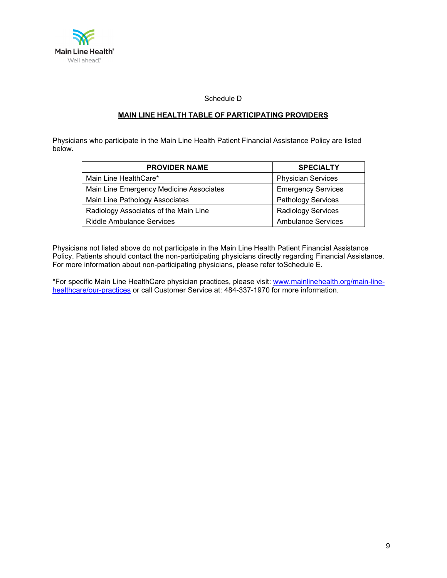

Schedule D

## **MAIN LINE HEALTH TABLE OF PARTICIPATING PROVIDERS**

Physicians who participate in the Main Line Health Patient Financial Assistance Policy are listed below.

| <b>PROVIDER NAME</b>                    | <b>SPECIALTY</b>          |  |
|-----------------------------------------|---------------------------|--|
| Main Line HealthCare*                   | <b>Physician Services</b> |  |
| Main Line Emergency Medicine Associates | <b>Emergency Services</b> |  |
| Main Line Pathology Associates          | <b>Pathology Services</b> |  |
| Radiology Associates of the Main Line   | <b>Radiology Services</b> |  |
| <b>Riddle Ambulance Services</b>        | <b>Ambulance Services</b> |  |

Physicians not listed above do not participate in the Main Line Health Patient Financial Assistance Policy. Patients should contact the non-participating physicians directly regarding Financial Assistance. For more information about non-participating physicians, please refer toSchedule E.

\*For specific Main Line HealthCare physician practices, please visit: [www.mainlinehealth.org/main-line](http://www.mainlinehealth.org/main-line-)healthcare/our-practices or call Customer Service at: 484-337-1970 for more information.